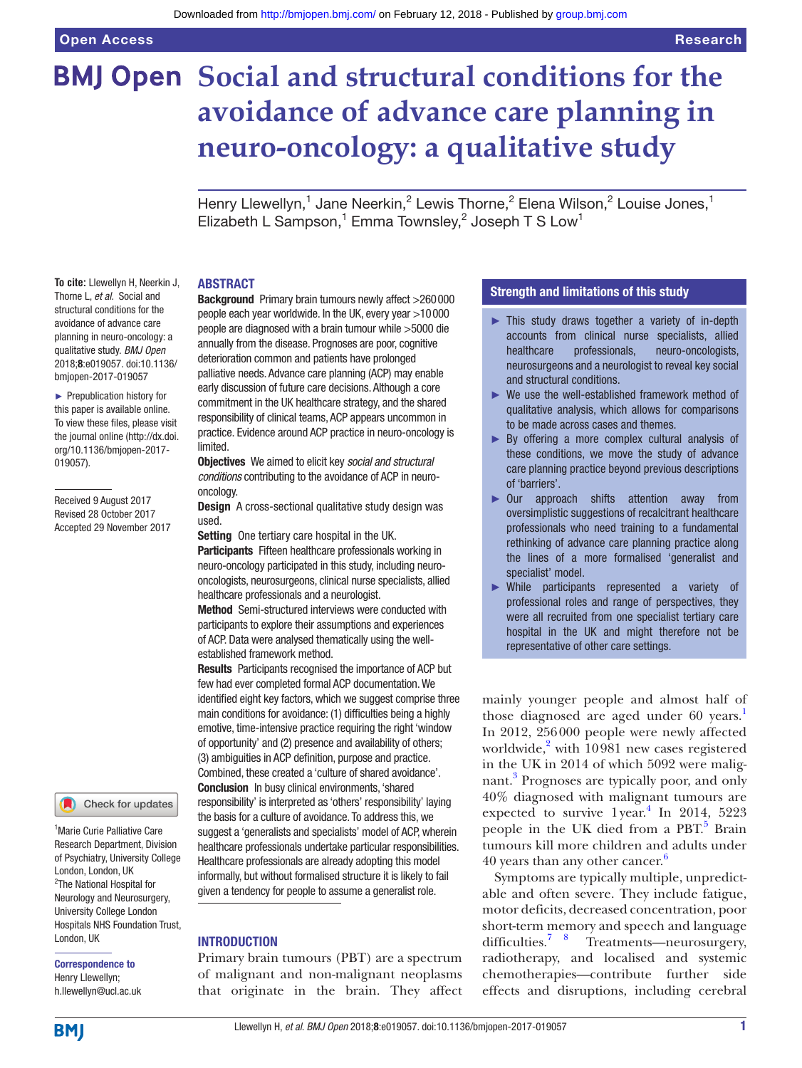# **BMJ Open Social and structural conditions for the avoidance of advance care planning in neuro-oncology: a qualitative study**

Henry Llewellyn,<sup>1</sup> Jane Neerkin,<sup>2</sup> Lewis Thorne,<sup>2</sup> Elena Wilson,<sup>2</sup> Louise Jones,<sup>1</sup> Elizabeth L Sampson,<sup>1</sup> Emma Townsley,<sup>2</sup> Joseph T S Low<sup>1</sup>

#### **ABSTRACT**

**To cite:** Llewellyn H, Neerkin J, Thorne L, *et al*. Social and structural conditions for the avoidance of advance care planning in neuro-oncology: a qualitative study. *BMJ Open* 2018;8:e019057. doi:10.1136/ bmjopen-2017-019057

► Prepublication history for this paper is available online. To view these files, please visit the journal online (http://dx.doi. org/10.1136/bmjopen-2017- 019057).

Received 9 August 2017 Revised 28 October 2017 Accepted 29 November 2017



1 Marie Curie Palliative Care Research Department, Division of Psychiatry, University College London, London, UK <sup>2</sup>The National Hospital for Neurology and Neurosurgery, University College London Hospitals NHS Foundation Trust, London, UK

Correspondence to Henry Llewellyn; h.llewellyn@ucl.ac.uk Background Primary brain tumours newly affect >260000 people each year worldwide. In the UK, every year >10000 people are diagnosed with a brain tumour while >5000 die annually from the disease. Prognoses are poor, cognitive deterioration common and patients have prolonged palliative needs. Advance care planning (ACP) may enable early discussion of future care decisions. Although a core commitment in the UK healthcare strategy, and the shared responsibility of clinical teams, ACP appears uncommon in practice. Evidence around ACP practice in neuro-oncology is limited.

Objectives We aimed to elicit key *social and structural conditions* contributing to the avoidance of ACP in neurooncology.

Design A cross-sectional qualitative study design was used.

Setting One tertiary care hospital in the UK. Participants Fifteen healthcare professionals working in neuro-oncology participated in this study, including neurooncologists, neurosurgeons, clinical nurse specialists, allied healthcare professionals and a neurologist.

Method Semi-structured interviews were conducted with participants to explore their assumptions and experiences of ACP. Data were analysed thematically using the wellestablished framework method.

**Results** Participants recognised the importance of ACP but few had ever completed formal ACP documentation. We identified eight key factors, which we suggest comprise three main conditions for avoidance: (1) difficulties being a highly emotive, time-intensive practice requiring the right 'window of opportunity' and (2) presence and availability of others; (3) ambiguities in ACP definition, purpose and practice. Combined, these created a 'culture of shared avoidance'. Conclusion In busy clinical environments, 'shared responsibility' is interpreted as 'others' responsibility' laying the basis for a culture of avoidance. To address this, we suggest a 'generalists and specialists' model of ACP, wherein healthcare professionals undertake particular responsibilities. Healthcare professionals are already adopting this model informally, but without formalised structure it is likely to fail given a tendency for people to assume a generalist role.

#### **INTRODUCTION**

Primary brain tumours (PBT) are a spectrum of malignant and non-malignant neoplasms that originate in the brain. They affect

#### Strength and limitations of this study

- ► This study draws together a variety of in-depth accounts from clinical nurse specialists, allied healthcare professionals, neuro-oncologists, neurosurgeons and a neurologist to reveal key social and structural conditions.
- ► We use the well-established framework method of qualitative analysis, which allows for comparisons to be made across cases and themes.
- ► By offering a more complex cultural analysis of these conditions, we move the study of advance care planning practice beyond previous descriptions of 'barriers'.
- ► Our approach shifts attention away from oversimplistic suggestions of recalcitrant healthcare professionals who need training to a fundamental rethinking of advance care planning practice along the lines of a more formalised 'generalist and specialist' model.
- ► While participants represented a variety of professional roles and range of perspectives, they were all recruited from one specialist tertiary care hospital in the UK and might therefore not be representative of other care settings.

mainly younger people and almost half of those diagnosed are aged under 60 years.<sup>[1](#page-9-0)</sup> In 2012, 256000 people were newly affected worldwide,<sup>[2](#page-9-1)</sup> with 10981 new cases registered in the UK in 2014 of which 5092 were malig-nant.<sup>[3](#page-9-2)</sup> Prognoses are typically poor, and only 40% diagnosed with malignant tumours are expected to survive 1year. [4](#page-9-3) In 2014, 5223 people in the UK died from a PBT.<sup>[5](#page-9-4)</sup> Brain tumours kill more children and adults under 40 years than any other cancer.<sup>[6](#page-9-5)</sup>

Symptoms are typically multiple, unpredictable and often severe. They include fatigue, motor deficits, decreased concentration, poor short-term memory and speech and language difficulties.<sup>7</sup> 8 Treatments—neurosurgery, radiotherapy, and localised and systemic chemotherapies—contribute further side effects and disruptions, including cerebral

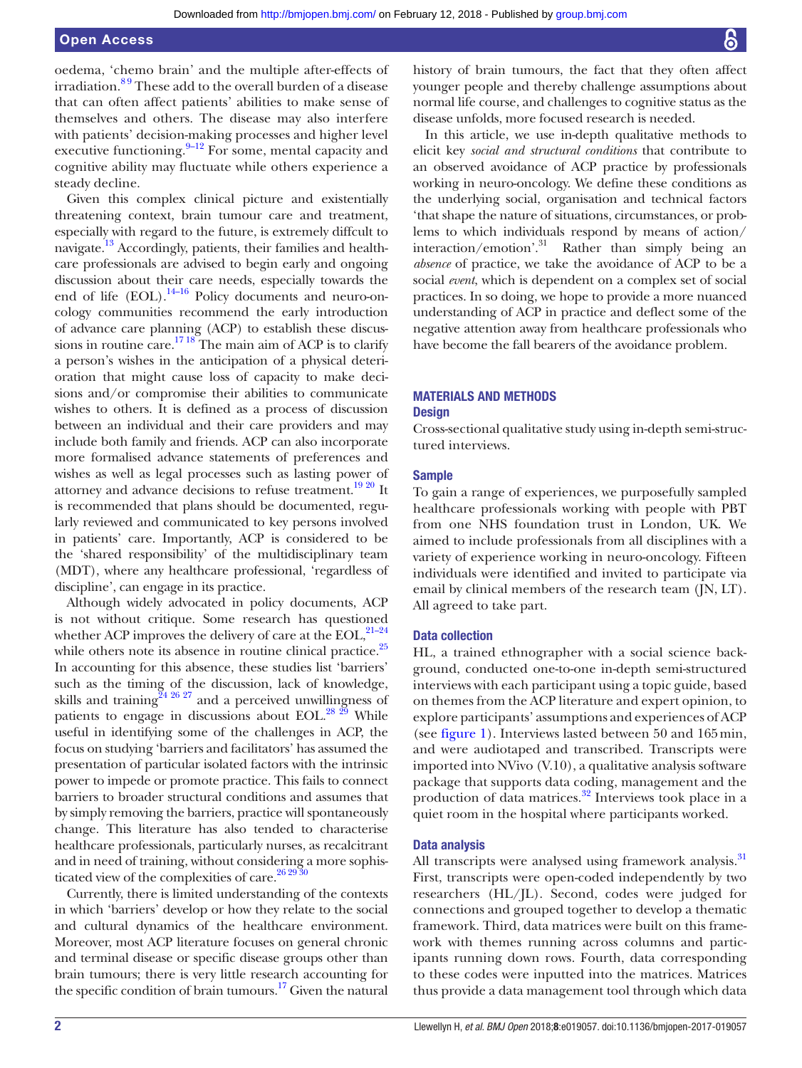oedema, 'chemo brain' and the multiple after-effects of irradiation.<sup>89</sup> These add to the overall burden of a disease that can often affect patients' abilities to make sense of themselves and others. The disease may also interfere with patients' decision-making processes and higher level executive functioning. $9-12$  For some, mental capacity and cognitive ability may fluctuate while others experience a steady decline.

Given this complex clinical picture and existentially threatening context, brain tumour care and treatment, especially with regard to the future, is extremely diffcult to navigate.<sup>[13](#page-9-9)</sup> Accordingly, patients, their families and healthcare professionals are advised to begin early and ongoing discussion about their care needs, especially towards the end of life  $(EOL)$ .<sup>[14–16](#page-9-10)</sup> Policy documents and neuro-oncology communities recommend the early introduction of advance care planning (ACP) to establish these discussions in routine care.<sup>1718</sup> The main aim of ACP is to clarify a person's wishes in the anticipation of a physical deterioration that might cause loss of capacity to make decisions and/or compromise their abilities to communicate wishes to others. It is defined as a process of discussion between an individual and their care providers and may include both family and friends. ACP can also incorporate more formalised advance statements of preferences and wishes as well as legal processes such as lasting power of attorney and advance decisions to refuse treatment.<sup>[19 20](#page-9-12)</sup> It is recommended that plans should be documented, regularly reviewed and communicated to key persons involved in patients' care. Importantly, ACP is considered to be the 'shared responsibility' of the multidisciplinary team (MDT), where any healthcare professional, 'regardless of discipline', can engage in its practice.

Although widely advocated in policy documents, ACP is not without critique. Some research has questioned whether ACP improves the delivery of care at the EOL,<sup>21-24</sup> while others note its absence in routine clinical practice.<sup>[25](#page-9-14)</sup> In accounting for this absence, these studies list 'barriers' such as the timing of the discussion, lack of knowledge, skills and training  $^{24}$  26 <sup>27</sup> and a perceived unwillingness of patients to engage in discussions about EOL. $^{28}$   $^{29}$  While useful in identifying some of the challenges in ACP, the focus on studying 'barriers and facilitators' has assumed the presentation of particular isolated factors with the intrinsic power to impede or promote practice. This fails to connect barriers to broader structural conditions and assumes that by simply removing the barriers, practice will spontaneously change. This literature has also tended to characterise healthcare professionals, particularly nurses, as recalcitrant and in need of training, without considering a more sophis-ticated view of the complexities of care.<sup>[26 29 30](#page-9-17)</sup>

Currently, there is limited understanding of the contexts in which 'barriers' develop or how they relate to the social and cultural dynamics of the healthcare environment. Moreover, most ACP literature focuses on general chronic and terminal disease or specific disease groups other than brain tumours; there is very little research accounting for the specific condition of brain tumours.<sup>17</sup> Given the natural

history of brain tumours, the fact that they often affect younger people and thereby challenge assumptions about normal life course, and challenges to cognitive status as the disease unfolds, more focused research is needed.

In this article, we use in-depth qualitative methods to elicit key *social and structural conditions* that contribute to an observed avoidance of ACP practice by professionals working in neuro-oncology. We define these conditions as the underlying social, organisation and technical factors 'that shape the nature of situations, circumstances, or problems to which individuals respond by means of action/ interaction/emotion'[.31](#page-9-18) Rather than simply being an *absence* of practice, we take the avoidance of ACP to be a social *event*, which is dependent on a complex set of social practices. In so doing, we hope to provide a more nuanced understanding of ACP in practice and deflect some of the negative attention away from healthcare professionals who have become the fall bearers of the avoidance problem.

## Materials and methods

### **Design**

Cross-sectional qualitative study using in-depth semi-structured interviews.

#### Sample

To gain a range of experiences, we purposefully sampled healthcare professionals working with people with PBT from one NHS foundation trust in London, UK. We aimed to include professionals from all disciplines with a variety of experience working in neuro-oncology. Fifteen individuals were identified and invited to participate via email by clinical members of the research team (JN, LT). All agreed to take part.

#### Data collection

HL, a trained ethnographer with a social science background, conducted one-to-one in-depth semi-structured interviews with each participant using a topic guide, based on themes from the ACP literature and expert opinion, to explore participants' assumptions and experiences of ACP (see [figure](#page-2-0) 1). Interviews lasted between 50 and 165min, and were audiotaped and transcribed. Transcripts were imported into NVivo (V.10), a qualitative analysis software package that supports data coding, management and the production of data matrices. $32$  Interviews took place in a quiet room in the hospital where participants worked.

#### Data analysis

All transcripts were analysed using framework analysis.<sup>[31](#page-9-18)</sup> First, transcripts were open-coded independently by two researchers (HL/JL). Second, codes were judged for connections and grouped together to develop a thematic framework. Third, data matrices were built on this framework with themes running across columns and participants running down rows. Fourth, data corresponding to these codes were inputted into the matrices. Matrices thus provide a data management tool through which data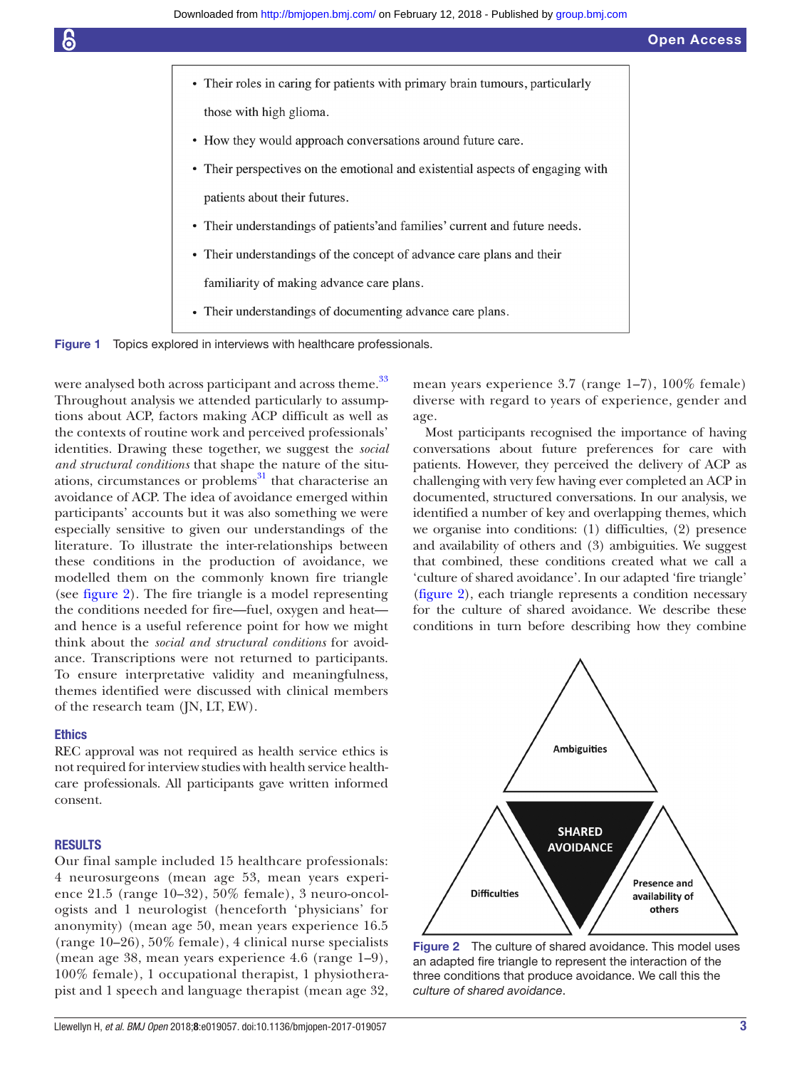

Figure 1 Topics explored in interviews with healthcare professionals.

were analysed both across participant and across theme.<sup>[33](#page-9-20)</sup> Throughout analysis we attended particularly to assumptions about ACP, factors making ACP difficult as well as the contexts of routine work and perceived professionals' identities. Drawing these together, we suggest the *social and structural conditions* that shape the nature of the situations, circumstances or problems<sup>31</sup> that characterise an avoidance of ACP. The idea of avoidance emerged within participants' accounts but it was also something we were especially sensitive to given our understandings of the literature. To illustrate the inter-relationships between these conditions in the production of avoidance, we modelled them on the commonly known fire triangle (see [figure](#page-2-1) 2). The fire triangle is a model representing the conditions needed for fire—fuel, oxygen and heat and hence is a useful reference point for how we might think about the *social and structural conditions* for avoidance. Transcriptions were not returned to participants. To ensure interpretative validity and meaningfulness, themes identified were discussed with clinical members of the research team (JN, LT, EW).

#### **Ethics**

REC approval was not required as health service ethics is not required for interview studies with health service healthcare professionals. All participants gave written informed consent.

#### **RESULTS**

Our final sample included 15 healthcare professionals: 4 neurosurgeons (mean age 53, mean years experience 21.5 (range 10–32), 50% female), 3 neuro-oncologists and 1 neurologist (henceforth 'physicians' for anonymity) (mean age 50, mean years experience 16.5 (range 10–26), 50% female), 4 clinical nurse specialists (mean age 38, mean years experience 4.6 (range 1–9), 100% female), 1 occupational therapist, 1 physiotherapist and 1 speech and language therapist (mean age 32,

<span id="page-2-0"></span>mean years experience 3.7 (range 1–7), 100% female) diverse with regard to years of experience, gender and age.

Most participants recognised the importance of having conversations about future preferences for care with patients. However, they perceived the delivery of ACP as challenging with very few having ever completed an ACP in documented, structured conversations. In our analysis, we identified a number of key and overlapping themes, which we organise into conditions: (1) difficulties, (2) presence and availability of others and (3) ambiguities. We suggest that combined, these conditions created what we call a 'culture of shared avoidance'. In our adapted 'fire triangle' [\(figure](#page-2-1) 2), each triangle represents a condition necessary for the culture of shared avoidance. We describe these conditions in turn before describing how they combine



<span id="page-2-1"></span>Figure 2 The culture of shared avoidance. This model uses an adapted fire triangle to represent the interaction of the three conditions that produce avoidance. We call this the *culture of shared avoidance*.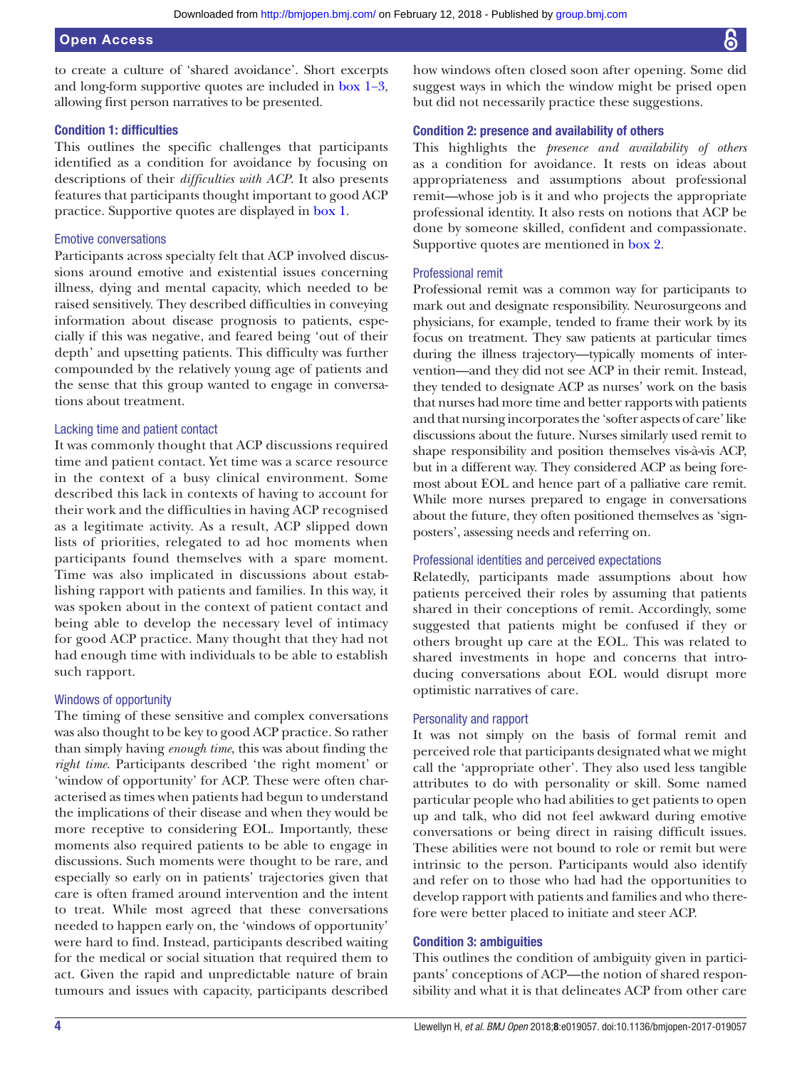to create a culture of 'shared avoidance'. Short excerpts and long-form supportive quotes are included in [box](#page-4-0) 1−3, allowing first person narratives to be presented.

#### Condition 1: difficulties

This outlines the specific challenges that participants identified as a condition for avoidance by focusing on descriptions of their *difficulties with ACP*. It also presents features that participants thought important to good ACP practice. Supportive quotes are displayed in [box](#page-4-0) 1.

#### Emotive conversations

Participants across specialty felt that ACP involved discussions around emotive and existential issues concerning illness, dying and mental capacity, which needed to be raised sensitively. They described difficulties in conveying information about disease prognosis to patients, especially if this was negative, and feared being 'out of their depth' and upsetting patients. This difficulty was further compounded by the relatively young age of patients and the sense that this group wanted to engage in conversations about treatment.

#### Lacking time and patient contact

It was commonly thought that ACP discussions required time and patient contact. Yet time was a scarce resource in the context of a busy clinical environment. Some described this lack in contexts of having to account for their work and the difficulties in having ACP recognised as a legitimate activity. As a result, ACP slipped down lists of priorities, relegated to ad hoc moments when participants found themselves with a spare moment. Time was also implicated in discussions about establishing rapport with patients and families. In this way, it was spoken about in the context of patient contact and being able to develop the necessary level of intimacy for good ACP practice. Many thought that they had not had enough time with individuals to be able to establish such rapport.

#### Windows of opportunity

The timing of these sensitive and complex conversations was also thought to be key to good ACP practice. So rather than simply having *enough time*, this was about finding the *right time*. Participants described 'the right moment' or 'window of opportunity' for ACP. These were often characterised as times when patients had begun to understand the implications of their disease and when they would be more receptive to considering EOL. Importantly, these moments also required patients to be able to engage in discussions. Such moments were thought to be rare, and especially so early on in patients' trajectories given that care is often framed around intervention and the intent to treat. While most agreed that these conversations needed to happen early on, the 'windows of opportunity' were hard to find. Instead, participants described waiting for the medical or social situation that required them to act. Given the rapid and unpredictable nature of brain tumours and issues with capacity, participants described

how windows often closed soon after opening. Some did suggest ways in which the window might be prised open but did not necessarily practice these suggestions.

#### Condition 2: presence and availability of others

This highlights the *presence and availability of others* as a condition for avoidance. It rests on ideas about appropriateness and assumptions about professional remit—whose job is it and who projects the appropriate professional identity. It also rests on notions that ACP be done by someone skilled, confident and compassionate. Supportive quotes are mentioned in [box](#page-5-0) 2.

#### Professional remit

Professional remit was a common way for participants to mark out and designate responsibility. Neurosurgeons and physicians, for example, tended to frame their work by its focus on treatment. They saw patients at particular times during the illness trajectory—typically moments of intervention—and they did not see ACP in their remit. Instead, they tended to designate ACP as nurses' work on the basis that nurses had more time and better rapports with patients and that nursing incorporates the 'softer aspects of care' like discussions about the future. Nurses similarly used remit to shape responsibility and position themselves vis-à-vis ACP, but in a different way. They considered ACP as being foremost about EOL and hence part of a palliative care remit. While more nurses prepared to engage in conversations about the future, they often positioned themselves as 'signposters', assessing needs and referring on.

#### Professional identities and perceived expectations

Relatedly, participants made assumptions about how patients perceived their roles by assuming that patients shared in their conceptions of remit. Accordingly, some suggested that patients might be confused if they or others brought up care at the EOL. This was related to shared investments in hope and concerns that introducing conversations about EOL would disrupt more optimistic narratives of care.

#### Personality and rapport

It was not simply on the basis of formal remit and perceived role that participants designated what we might call the 'appropriate other'. They also used less tangible attributes to do with personality or skill. Some named particular people who had abilities to get patients to open up and talk, who did not feel awkward during emotive conversations or being direct in raising difficult issues. These abilities were not bound to role or remit but were intrinsic to the person. Participants would also identify and refer on to those who had had the opportunities to develop rapport with patients and families and who therefore were better placed to initiate and steer ACP.

#### Condition 3: ambiguities

This outlines the condition of ambiguity given in participants' conceptions of ACP—the notion of shared responsibility and what it is that delineates ACP from other care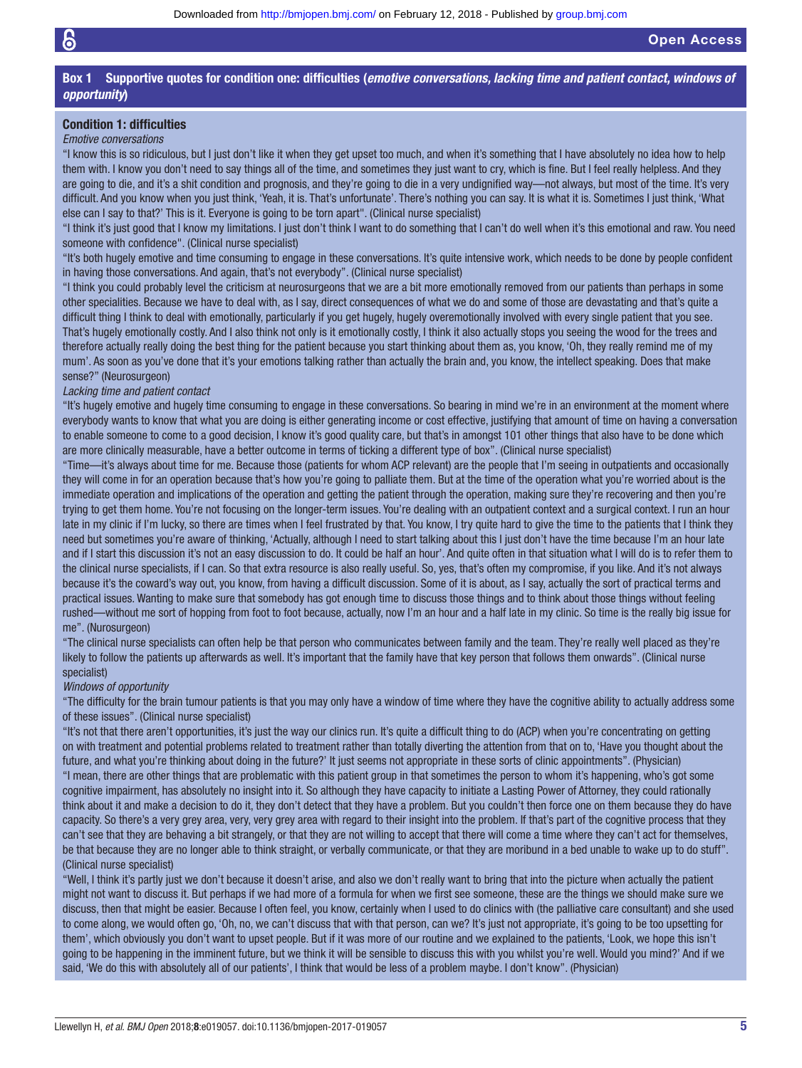#### Box 1 Supportive quotes for condition one: difficulties (*emotive conversations, lacking time and patient contact, windows of opportunity*)

### <span id="page-4-0"></span>Condition 1: difficulties

#### *Emotive conversations*

"I know this is so ridiculous, but I just don't like it when they get upset too much, and when it's something that I have absolutely no idea how to help them with. I know you don't need to say things all of the time, and sometimes they just want to cry, which is fine. But I feel really helpless. And they are going to die, and it's a shit condition and prognosis, and they're going to die in a very undignified way—not always, but most of the time. It's very difficult. And you know when you just think, 'Yeah, it is. That's unfortunate'. There's nothing you can say. It is what it is. Sometimes I just think, 'What else can I say to that?' This is it. Everyone is going to be torn apart". (Clinical nurse specialist)

"I think it's just good that I know my limitations. I just don't think I want to do something that I can't do well when it's this emotional and raw. You need someone with confidence". (Clinical nurse specialist)

"It's both hugely emotive and time consuming to engage in these conversations. It's quite intensive work, which needs to be done by people confident in having those conversations. And again, that's not everybody". (Clinical nurse specialist)

"I think you could probably level the criticism at neurosurgeons that we are a bit more emotionally removed from our patients than perhaps in some other specialities. Because we have to deal with, as I say, direct consequences of what we do and some of those are devastating and that's quite a difficult thing I think to deal with emotionally, particularly if you get hugely, hugely overemotionally involved with every single patient that you see. That's hugely emotionally costly. And I also think not only is it emotionally costly, I think it also actually stops you seeing the wood for the trees and therefore actually really doing the best thing for the patient because you start thinking about them as, you know, 'Oh, they really remind me of my mum'. As soon as you've done that it's your emotions talking rather than actually the brain and, you know, the intellect speaking. Does that make sense?" (Neurosurgeon)

#### *Lacking time and patient contact*

"It's hugely emotive and hugely time consuming to engage in these conversations. So bearing in mind we're in an environment at the moment where everybody wants to know that what you are doing is either generating income or cost effective, justifying that amount of time on having a conversation to enable someone to come to a good decision, I know it's good quality care, but that's in amongst 101 other things that also have to be done which are more clinically measurable, have a better outcome in terms of ticking a different type of box". (Clinical nurse specialist)

"Time—it's always about time for me. Because those (patients for whom ACP relevant) are the people that I'm seeing in outpatients and occasionally they will come in for an operation because that's how you're going to palliate them. But at the time of the operation what you're worried about is the immediate operation and implications of the operation and getting the patient through the operation, making sure they're recovering and then you're trying to get them home. You're not focusing on the longer-term issues. You're dealing with an outpatient context and a surgical context. I run an hour late in my clinic if I'm lucky, so there are times when I feel frustrated by that. You know, I try quite hard to give the time to the patients that I think they need but sometimes you're aware of thinking, 'Actually, although I need to start talking about this I just don't have the time because I'm an hour late and if I start this discussion it's not an easy discussion to do. It could be half an hour'. And quite often in that situation what I will do is to refer them to the clinical nurse specialists, if I can. So that extra resource is also really useful. So, yes, that's often my compromise, if you like. And it's not always because it's the coward's way out, you know, from having a difficult discussion. Some of it is about, as I say, actually the sort of practical terms and practical issues. Wanting to make sure that somebody has got enough time to discuss those things and to think about those things without feeling rushed—without me sort of hopping from foot to foot because, actually, now I'm an hour and a half late in my clinic. So time is the really big issue for me". (Nurosurgeon)

"The clinical nurse specialists can often help be that person who communicates between family and the team. They're really well placed as they're likely to follow the patients up afterwards as well. It's important that the family have that key person that follows them onwards". (Clinical nurse specialist)

#### *Windows of opportunity*

"The difficulty for the brain tumour patients is that you may only have a window of time where they have the cognitive ability to actually address some of these issues". (Clinical nurse specialist)

"It's not that there aren't opportunities, it's just the way our clinics run. It's quite a difficult thing to do (ACP) when you're concentrating on getting on with treatment and potential problems related to treatment rather than totally diverting the attention from that on to, 'Have you thought about the future, and what you're thinking about doing in the future?' It just seems not appropriate in these sorts of clinic appointments". (Physician) "I mean, there are other things that are problematic with this patient group in that sometimes the person to whom it's happening, who's got some cognitive impairment, has absolutely no insight into it. So although they have capacity to initiate a Lasting Power of Attorney, they could rationally think about it and make a decision to do it, they don't detect that they have a problem. But you couldn't then force one on them because they do have capacity. So there's a very grey area, very, very grey area with regard to their insight into the problem. If that's part of the cognitive process that they can't see that they are behaving a bit strangely, or that they are not willing to accept that there will come a time where they can't act for themselves, be that because they are no longer able to think straight, or verbally communicate, or that they are moribund in a bed unable to wake up to do stuff". (Clinical nurse specialist)

"Well, I think it's partly just we don't because it doesn't arise, and also we don't really want to bring that into the picture when actually the patient might not want to discuss it. But perhaps if we had more of a formula for when we first see someone, these are the things we should make sure we discuss, then that might be easier. Because I often feel, you know, certainly when I used to do clinics with (the palliative care consultant) and she used to come along, we would often go, 'Oh, no, we can't discuss that with that person, can we? It's just not appropriate, it's going to be too upsetting for them', which obviously you don't want to upset people. But if it was more of our routine and we explained to the patients, 'Look, we hope this isn't going to be happening in the imminent future, but we think it will be sensible to discuss this with you whilst you're well. Would you mind?' And if we said, 'We do this with absolutely all of our patients', I think that would be less of a problem maybe. I don't know". (Physician)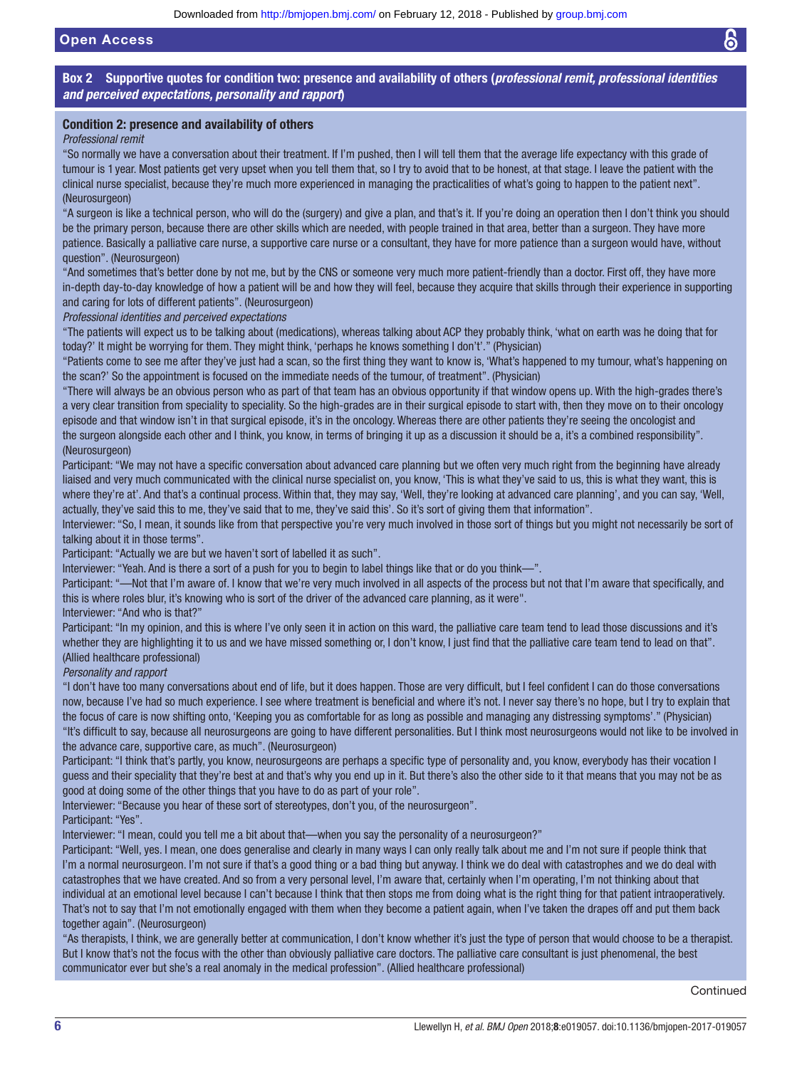Open Access

Box 2 Supportive quotes for condition two: presence and availability of others (*professional remit, professional identities and perceived expectations, personality and rapport*)

#### <span id="page-5-0"></span>Condition 2: presence and availability of others

#### *Professional remit*

"So normally we have a conversation about their treatment. If I'm pushed, then I will tell them that the average life expectancy with this grade of tumour is 1 year. Most patients get very upset when you tell them that, so I try to avoid that to be honest, at that stage. I leave the patient with the clinical nurse specialist, because they're much more experienced in managing the practicalities of what's going to happen to the patient next". (Neurosurgeon)

"A surgeon is like a technical person, who will do the (surgery) and give a plan, and that's it. If you're doing an operation then I don't think you should be the primary person, because there are other skills which are needed, with people trained in that area, better than a surgeon. They have more patience. Basically a palliative care nurse, a supportive care nurse or a consultant, they have for more patience than a surgeon would have, without question". (Neurosurgeon)

"And sometimes that's better done by not me, but by the CNS or someone very much more patient-friendly than a doctor. First off, they have more in-depth day-to-day knowledge of how a patient will be and how they will feel, because they acquire that skills through their experience in supporting and caring for lots of different patients". (Neurosurgeon)

*Professional identities and perceived expectations*

"The patients will expect us to be talking about (medications), whereas talking about ACP they probably think, 'what on earth was he doing that for today?' It might be worrying for them. They might think, 'perhaps he knows something I don't'." (Physician)

"Patients come to see me after they've just had a scan, so the first thing they want to know is, 'What's happened to my tumour, what's happening on the scan?' So the appointment is focused on the immediate needs of the tumour, of treatment". (Physician)

"There will always be an obvious person who as part of that team has an obvious opportunity if that window opens up. With the high-grades there's a very clear transition from speciality to speciality. So the high-grades are in their surgical episode to start with, then they move on to their oncology episode and that window isn't in that surgical episode, it's in the oncology. Whereas there are other patients they're seeing the oncologist and the surgeon alongside each other and I think, you know, in terms of bringing it up as a discussion it should be a, it's a combined responsibility". (Neurosurgeon)

Participant: "We may not have a specific conversation about advanced care planning but we often very much right from the beginning have already liaised and very much communicated with the clinical nurse specialist on, you know, 'This is what they've said to us, this is what they want, this is where they're at'. And that's a continual process. Within that, they may say, 'Well, they're looking at advanced care planning', and you can say, 'Well, actually, they've said this to me, they've said that to me, they've said this'. So it's sort of giving them that information".

Interviewer: "So, I mean, it sounds like from that perspective you're very much involved in those sort of things but you might not necessarily be sort of talking about it in those terms".

Participant: "Actually we are but we haven't sort of labelled it as such".

Interviewer: "Yeah. And is there a sort of a push for you to begin to label things like that or do you think—".

Participant: "—Not that I'm aware of. I know that we're very much involved in all aspects of the process but not that I'm aware that specifically, and this is where roles blur, it's knowing who is sort of the driver of the advanced care planning, as it were".

Interviewer: "And who is that?"

Participant: "In my opinion, and this is where I've only seen it in action on this ward, the palliative care team tend to lead those discussions and it's whether they are highlighting it to us and we have missed something or, I don't know, I just find that the palliative care team tend to lead on that". (Allied healthcare professional)

#### *Personality and rapport*

"I don't have too many conversations about end of life, but it does happen. Those are very difficult, but I feel confident I can do those conversations now, because I've had so much experience. I see where treatment is beneficial and where it's not. I never say there's no hope, but I try to explain that the focus of care is now shifting onto, 'Keeping you as comfortable for as long as possible and managing any distressing symptoms'." (Physician) "It's difficult to say, because all neurosurgeons are going to have different personalities. But I think most neurosurgeons would not like to be involved in the advance care, supportive care, as much". (Neurosurgeon)

Participant: "I think that's partly, you know, neurosurgeons are perhaps a specific type of personality and, you know, everybody has their vocation I guess and their speciality that they're best at and that's why you end up in it. But there's also the other side to it that means that you may not be as good at doing some of the other things that you have to do as part of your role".

Interviewer: "Because you hear of these sort of stereotypes, don't you, of the neurosurgeon".

Participant: "Yes".

Interviewer: "I mean, could you tell me a bit about that—when you say the personality of a neurosurgeon?"

Participant: "Well, yes. I mean, one does generalise and clearly in many ways I can only really talk about me and I'm not sure if people think that I'm a normal neurosurgeon. I'm not sure if that's a good thing or a bad thing but anyway. I think we do deal with catastrophes and we do deal with catastrophes that we have created. And so from a very personal level, I'm aware that, certainly when I'm operating, I'm not thinking about that individual at an emotional level because I can't because I think that then stops me from doing what is the right thing for that patient intraoperatively. That's not to say that I'm not emotionally engaged with them when they become a patient again, when I've taken the drapes off and put them back together again". (Neurosurgeon)

"As therapists, I think, we are generally better at communication, I don't know whether it's just the type of person that would choose to be a therapist. But I know that's not the focus with the other than obviously palliative care doctors. The palliative care consultant is just phenomenal, the best communicator ever but she's a real anomaly in the medical profession". (Allied healthcare professional)

**Continued**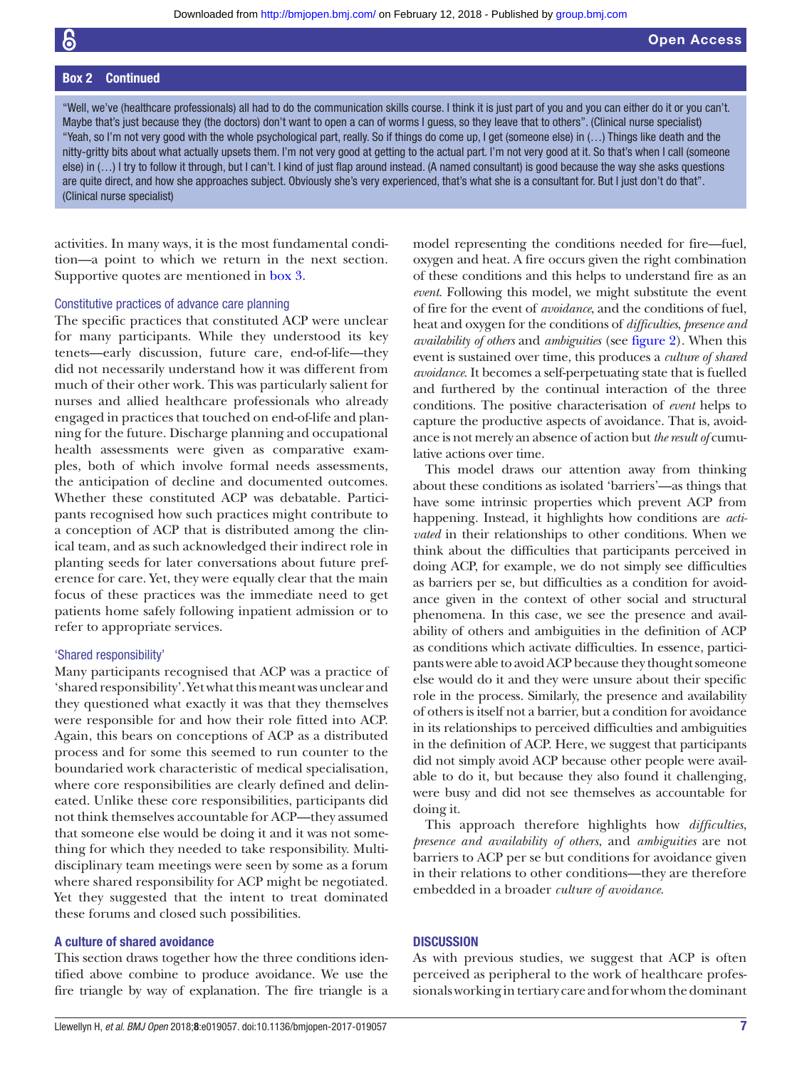#### Box 2 Continued

"Well, we've (healthcare professionals) all had to do the communication skills course. I think it is just part of you and you can either do it or you can't. Maybe that's just because they (the doctors) don't want to open a can of worms I guess, so they leave that to others". (Clinical nurse specialist) "Yeah, so I'm not very good with the whole psychological part, really. So if things do come up, I get (someone else) in (…) Things like death and the nitty-gritty bits about what actually upsets them. I'm not very good at getting to the actual part. I'm not very good at it. So that's when I call (someone else) in (…) I try to follow it through, but I can't. I kind of just flap around instead. (A named consultant) is good because the way she asks questions are quite direct, and how she approaches subject. Obviously she's very experienced, that's what she is a consultant for. But I just don't do that". (Clinical nurse specialist)

activities. In many ways, it is the most fundamental condition—a point to which we return in the next section. Supportive quotes are mentioned in [box](#page-7-0) 3.

#### Constitutive practices of advance care planning

The specific practices that constituted ACP were unclear for many participants. While they understood its key tenets—early discussion, future care, end-of-life—they did not necessarily understand how it was different from much of their other work. This was particularly salient for nurses and allied healthcare professionals who already engaged in practices that touched on end-of-life and planning for the future. Discharge planning and occupational health assessments were given as comparative examples, both of which involve formal needs assessments, the anticipation of decline and documented outcomes. Whether these constituted ACP was debatable. Participants recognised how such practices might contribute to a conception of ACP that is distributed among the clinical team, and as such acknowledged their indirect role in planting seeds for later conversations about future preference for care. Yet, they were equally clear that the main focus of these practices was the immediate need to get patients home safely following inpatient admission or to refer to appropriate services.

#### 'Shared responsibility'

Many participants recognised that ACP was a practice of 'shared responsibility'. Yet what this meant was unclear and they questioned what exactly it was that they themselves were responsible for and how their role fitted into ACP. Again, this bears on conceptions of ACP as a distributed process and for some this seemed to run counter to the boundaried work characteristic of medical specialisation, where core responsibilities are clearly defined and delineated. Unlike these core responsibilities, participants did not think themselves accountable for ACP—they assumed that someone else would be doing it and it was not something for which they needed to take responsibility. Multidisciplinary team meetings were seen by some as a forum where shared responsibility for ACP might be negotiated. Yet they suggested that the intent to treat dominated these forums and closed such possibilities.

#### A culture of shared avoidance

This section draws together how the three conditions identified above combine to produce avoidance. We use the fire triangle by way of explanation. The fire triangle is a

model representing the conditions needed for fire—fuel, oxygen and heat. A fire occurs given the right combination of these conditions and this helps to understand fire as an *event*. Following this model, we might substitute the event of fire for the event of *avoidance*, and the conditions of fuel, heat and oxygen for the conditions of *difficulties*, *presence and availability of others* and *ambiguities* (see [figure](#page-2-1) 2). When this event is sustained over time, this produces a *culture of shared avoidance*. It becomes a self-perpetuating state that is fuelled and furthered by the continual interaction of the three conditions. The positive characterisation of *event* helps to capture the productive aspects of avoidance. That is, avoidance is not merely an absence of action but *the result of* cumulative actions over time.

This model draws our attention away from thinking about these conditions as isolated 'barriers'—as things that have some intrinsic properties which prevent ACP from happening. Instead, it highlights how conditions are *activated* in their relationships to other conditions. When we think about the difficulties that participants perceived in doing ACP, for example, we do not simply see difficulties as barriers per se, but difficulties as a condition for avoidance given in the context of other social and structural phenomena. In this case, we see the presence and availability of others and ambiguities in the definition of ACP as conditions which activate difficulties. In essence, participants were able to avoid ACP because they thought someone else would do it and they were unsure about their specific role in the process. Similarly, the presence and availability of others is itself not a barrier, but a condition for avoidance in its relationships to perceived difficulties and ambiguities in the definition of ACP. Here, we suggest that participants did not simply avoid ACP because other people were available to do it, but because they also found it challenging, were busy and did not see themselves as accountable for doing [i](#page-7-0)t.

This approach therefore highlights how *difficulties*, *presence and availability of others*, and *ambiguities* are not barriers to ACP per se but conditions for avoidance given in their relations to other conditions—they are therefore embedded in a broader *culture of avoidance*.

#### **DISCUSSION**

As with previous studies, we suggest that ACP is often perceived as peripheral to the work of healthcare professionals working in tertiary care and for whom the dominant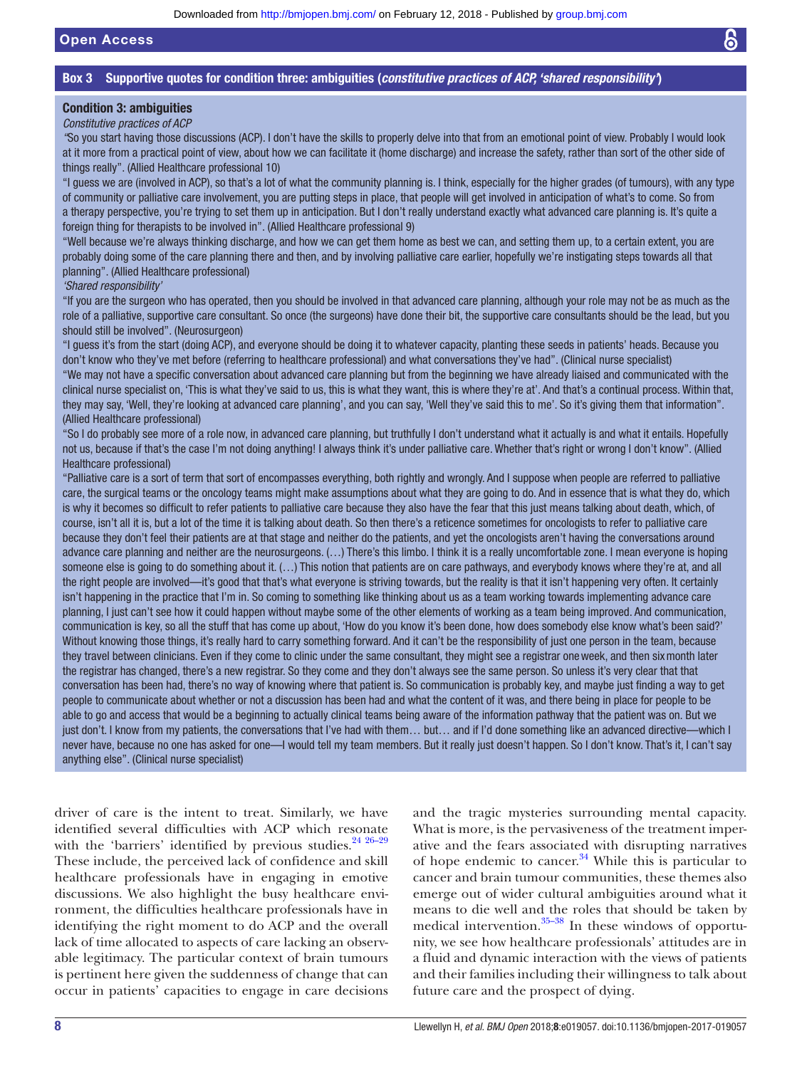#### <span id="page-7-0"></span>Condition 3: ambiguities *Constitutive practices of ACP*

*"*So you start having those discussions (ACP). I don't have the skills to properly delve into that from an emotional point of view. Probably I would look at it more from a practical point of view, about how we can facilitate it (home discharge) and increase the safety, rather than sort of the other side of things really". (Allied Healthcare professional 10)

"I guess we are (involved in ACP), so that's a lot of what the community planning is. I think, especially for the higher grades (of tumours), with any type of community or palliative care involvement, you are putting steps in place, that people will get involved in anticipation of what's to come. So from a therapy perspective, you're trying to set them up in anticipation. But I don't really understand exactly what advanced care planning is. It's quite a foreign thing for therapists to be involved in". (Allied Healthcare professional 9)

"Well because we're always thinking discharge, and how we can get them home as best we can, and setting them up, to a certain extent, you are probably doing some of the care planning there and then, and by involving palliative care earlier, hopefully we're instigating steps towards all that planning". (Allied Healthcare professional)

#### *'Shared responsibility'*

"If you are the surgeon who has operated, then you should be involved in that advanced care planning, although your role may not be as much as the role of a palliative, supportive care consultant. So once (the surgeons) have done their bit, the supportive care consultants should be the lead, but you should still be involved". (Neurosurgeon)

"I guess it's from the start (doing ACP), and everyone should be doing it to whatever capacity, planting these seeds in patients' heads. Because you don't know who they've met before (referring to healthcare professional) and what conversations they've had". (Clinical nurse specialist) "We may not have a specific conversation about advanced care planning but from the beginning we have already liaised and communicated with the clinical nurse specialist on, 'This is what they've said to us, this is what they want, this is where they're at'. And that's a continual process. Within that, they may say, 'Well, they're looking at advanced care planning', and you can say, 'Well they've said this to me'. So it's giving them that information". (Allied Healthcare professional)

"So I do probably see more of a role now, in advanced care planning, but truthfully I don't understand what it actually is and what it entails. Hopefully not us, because if that's the case I'm not doing anything! I always think it's under palliative care. Whether that's right or wrong I don't know". (Allied Healthcare professional)

"Palliative care is a sort of term that sort of encompasses everything, both rightly and wrongly. And I suppose when people are referred to palliative care, the surgical teams or the oncology teams might make assumptions about what they are going to do. And in essence that is what they do, which is why it becomes so difficult to refer patients to palliative care because they also have the fear that this just means talking about death, which, of course, isn't all it is, but a lot of the time it is talking about death. So then there's a reticence sometimes for oncologists to refer to palliative care because they don't feel their patients are at that stage and neither do the patients, and yet the oncologists aren't having the conversations around advance care planning and neither are the neurosurgeons. (…) There's this limbo. I think it is a really uncomfortable zone. I mean everyone is hoping someone else is going to do something about it. (...) This notion that patients are on care pathways, and everybody knows where they're at, and all the right people are involved—it's good that that's what everyone is striving towards, but the reality is that it isn't happening very often. It certainly isn't happening in the practice that I'm in. So coming to something like thinking about us as a team working towards implementing advance care planning, I just can't see how it could happen without maybe some of the other elements of working as a team being improved. And communication, communication is key, so all the stuff that has come up about, 'How do you know it's been done, how does somebody else know what's been said?' Without knowing those things, it's really hard to carry something forward. And it can't be the responsibility of just one person in the team, because they travel between clinicians. Even if they come to clinic under the same consultant, they might see a registrar oneweek, and then sixmonth later the registrar has changed, there's a new registrar. So they come and they don't always see the same person. So unless it's very clear that that conversation has been had, there's no way of knowing where that patient is. So communication is probably key, and maybe just finding a way to get people to communicate about whether or not a discussion has been had and what the content of it was, and there being in place for people to be able to go and access that would be a beginning to actually clinical teams being aware of the information pathway that the patient was on. But we just don't. I know from my patients, the conversations that I've had with them… but… and if I'd done something like an advanced directive—which I never have, because no one has asked for one—I would tell my team members. But it really just doesn't happen. So I don't know. That's it, I can't say anything else". (Clinical nurse specialist)

driver of care is the intent to treat. Similarly, we have identified several difficulties with ACP which resonate with the 'barriers' identified by previous studies. $2426-29$ These include, the perceived lack of confidence and skill healthcare professionals have in engaging in emotive discussions. We also highlight the busy healthcare environment, the difficulties healthcare professionals have in identifying the right moment to do ACP and the overall lack of time allocated to aspects of care lacking an observable legitimacy. The particular context of brain tumours is pertinent here given the suddenness of change that can occur in patients' capacities to engage in care decisions

and the tragic mysteries surrounding mental capacity. What is more, is the pervasiveness of the treatment imperative and the fears associated with disrupting narratives of hope endemic to cancer.<sup>34</sup> While this is particular to cancer and brain tumour communities, these themes also emerge out of wider cultural ambiguities around what it means to die well and the roles that should be taken by medical intervention. $35-38$  In these windows of opportunity, we see how healthcare professionals' attitudes are in a fluid and dynamic interaction with the views of patients and their families including their willingness to talk about future care and the prospect of dying.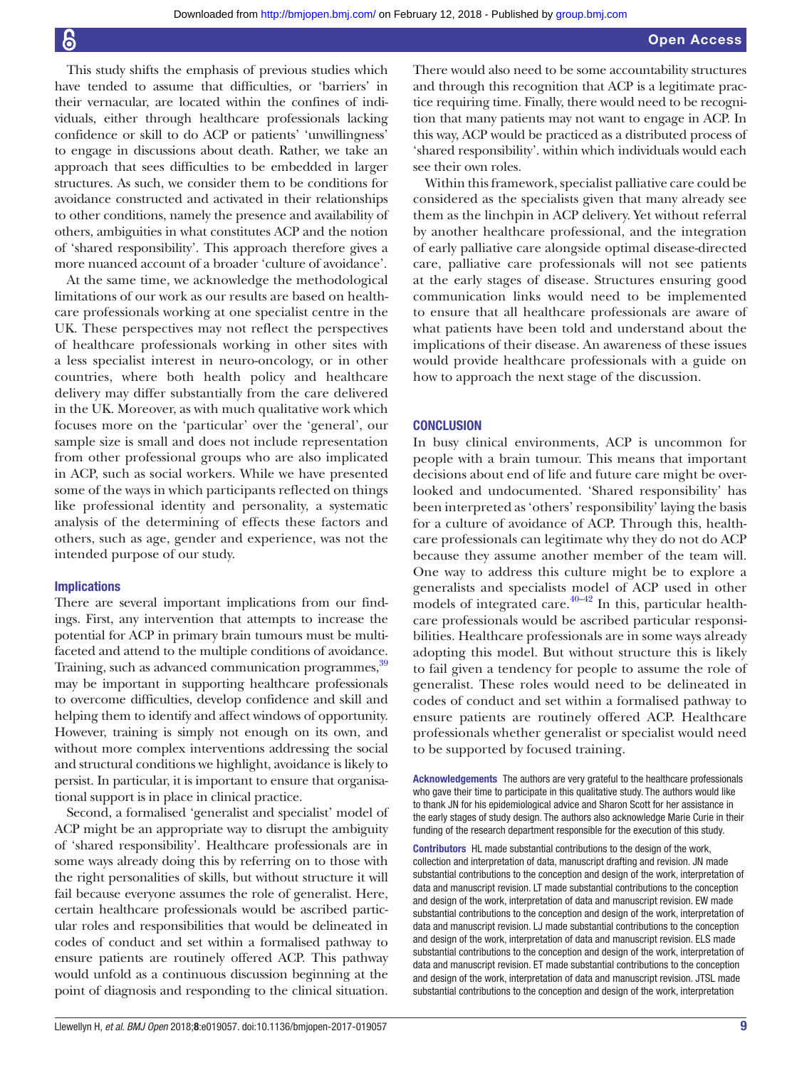This study shifts the emphasis of previous studies which have tended to assume that difficulties, or 'barriers' in their vernacular, are located within the confines of individuals, either through healthcare professionals lacking confidence or skill to do ACP or patients' 'unwillingness' to engage in discussions about death. Rather, we take an approach that sees difficulties to be embedded in larger structures. As such, we consider them to be conditions for avoidance constructed and activated in their relationships to other conditions, namely the presence and availability of others, ambiguities in what constitutes ACP and the notion of 'shared responsibility'. This approach therefore gives a more nuanced account of a broader 'culture of avoidance'.

At the same time, we acknowledge the methodological limitations of our work as our results are based on healthcare professionals working at one specialist centre in the UK. These perspectives may not reflect the perspectives of healthcare professionals working in other sites with a less specialist interest in neuro-oncology, or in other countries, where both health policy and healthcare delivery may differ substantially from the care delivered in the UK. Moreover, as with much qualitative work which focuses more on the 'particular' over the 'general', our sample size is small and does not include representation from other professional groups who are also implicated in ACP, such as social workers. While we have presented some of the ways in which participants reflected on things like professional identity and personality, a systematic analysis of the determining of effects these factors and others, such as age, gender and experience, was not the intended purpose of our study.

#### **Implications**

There are several important implications from our findings. First, any intervention that attempts to increase the potential for ACP in primary brain tumours must be multifaceted and attend to the multiple conditions of avoidance. Training, such as advanced communication programmes,<sup>[39](#page-9-23)</sup> may be important in supporting healthcare professionals to overcome difficulties, develop confidence and skill and helping them to identify and affect windows of opportunity. However, training is simply not enough on its own, and without more complex interventions addressing the social and structural conditions we highlight, avoidance is likely to persist. In particular, it is important to ensure that organisational support is in place in clinical practice.

Second, a formalised 'generalist and specialist' model of ACP might be an appropriate way to disrupt the ambiguity of 'shared responsibility'. Healthcare professionals are in some ways already doing this by referring on to those with the right personalities of skills, but without structure it will fail because everyone assumes the role of generalist. Here, certain healthcare professionals would be ascribed particular roles and responsibilities that would be delineated in codes of conduct and set within a formalised pathway to ensure patients are routinely offered ACP. This pathway would unfold as a continuous discussion beginning at the point of diagnosis and responding to the clinical situation.

There would also need to be some accountability structures and through this recognition that ACP is a legitimate practice requiring time. Finally, there would need to be recognition that many patients may not want to engage in ACP. In this way, ACP would be practiced as a distributed process of 'shared responsibility'. within which individuals would each see their own roles.

Within this framework, specialist palliative care could be considered as the specialists given that many already see them as the linchpin in ACP delivery. Yet without referral by another healthcare professional, and the integration of early palliative care alongside optimal disease-directed care, palliative care professionals will not see patients at the early stages of disease. Structures ensuring good communication links would need to be implemented to ensure that all healthcare professionals are aware of what patients have been told and understand about the implications of their disease. An awareness of these issues would provide healthcare professionals with a guide on how to approach the next stage of the discussion.

#### **CONCLUSION**

In busy clinical environments, ACP is uncommon for people with a brain tumour. This means that important decisions about end of life and future care might be overlooked and undocumented. 'Shared responsibility' has been interpreted as 'others' responsibility' laying the basis for a culture of avoidance of ACP. Through this, healthcare professionals can legitimate why they do not do ACP because they assume another member of the team will. One way to address this culture might be to explore a generalists and specialists model of ACP used in other models of integrated care. $40-42$  In this, particular healthcare professionals would be ascribed particular responsibilities. Healthcare professionals are in some ways already adopting this model. But without structure this is likely to fail given a tendency for people to assume the role of generalist. These roles would need to be delineated in codes of conduct and set within a formalised pathway to ensure patients are routinely offered ACP. Healthcare professionals whether generalist or specialist would need to be supported by focused training.

Acknowledgements The authors are very grateful to the healthcare professionals who gave their time to participate in this qualitative study. The authors would like to thank JN for his epidemiological advice and Sharon Scott for her assistance in the early stages of study design. The authors also acknowledge Marie Curie in their funding of the research department responsible for the execution of this study.

Contributors HL made substantial contributions to the design of the work, collection and interpretation of data, manuscript drafting and revision. JN made substantial contributions to the conception and design of the work, interpretation of data and manuscript revision. LT made substantial contributions to the conception and design of the work, interpretation of data and manuscript revision. EW made substantial contributions to the conception and design of the work, interpretation of data and manuscript revision. LJ made substantial contributions to the conception and design of the work, interpretation of data and manuscript revision. ELS made substantial contributions to the conception and design of the work, interpretation of data and manuscript revision. ET made substantial contributions to the conception and design of the work, interpretation of data and manuscript revision. JTSL made substantial contributions to the conception and design of the work, interpretation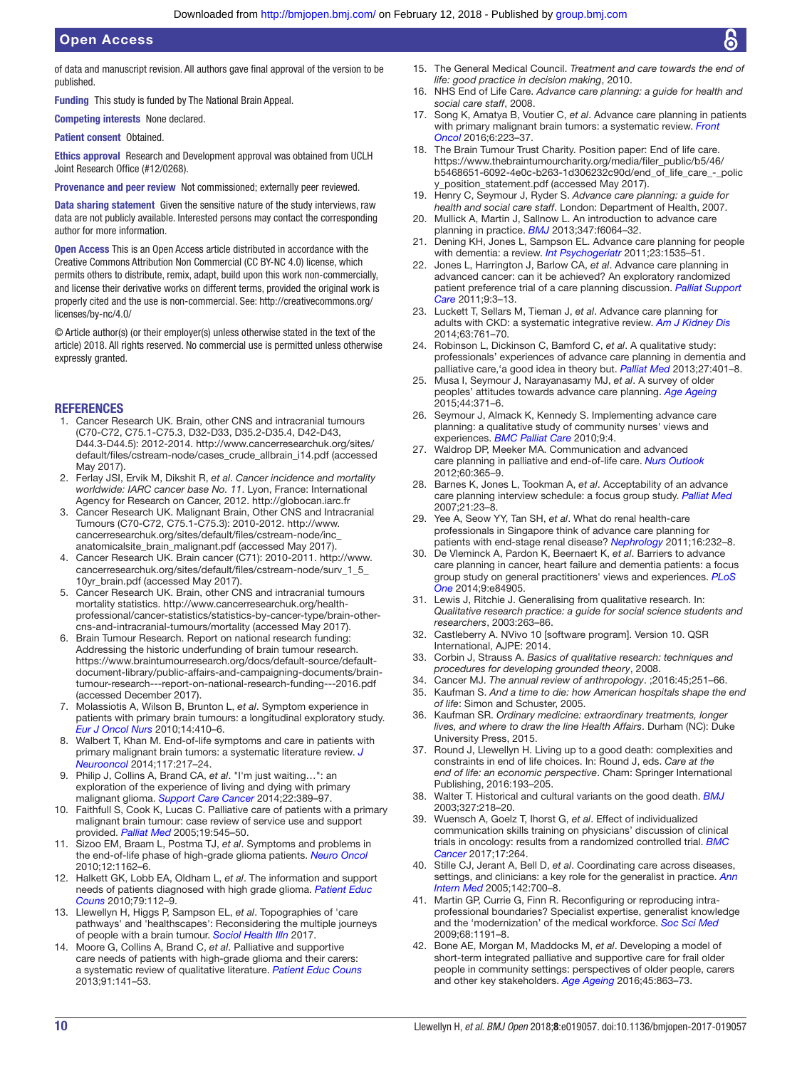#### Open Access

of data and manuscript revision. All authors gave final approval of the version to be published.

Funding This study is funded by The National Brain Appeal.

Competing interests None declared.

Patient consent Obtained.

Ethics approval Research and Development approval was obtained from UCLH Joint Research Office (#12/0268).

Provenance and peer review Not commissioned; externally peer reviewed.

Data sharing statement Given the sensitive nature of the study interviews, raw data are not publicly available. Interested persons may contact the corresponding author for more information.

Open Access This is an Open Access article distributed in accordance with the Creative Commons Attribution Non Commercial (CC BY-NC 4.0) license, which permits others to distribute, remix, adapt, build upon this work non-commercially, and license their derivative works on different terms, provided the original work is properly cited and the use is non-commercial. See: [http://creativecommons.org/](http://creativecommons.org/licenses/by-nc/4.0/) [licenses/by-nc/4.0/](http://creativecommons.org/licenses/by-nc/4.0/)

© Article author(s) (or their employer(s) unless otherwise stated in the text of the article) 2018. All rights reserved. No commercial use is permitted unless otherwise expressly granted.

#### **REFERENCES**

- <span id="page-9-0"></span>1. Cancer Research UK. Brain, other CNS and intracranial tumours (C70-C72, C75.1-C75.3, D32-D33, D35.2-D35.4, D42-D43, D44.3-D44.5): 2012-2014. [http://www.cancerresearchuk.org/sites/](http://www.cancerresearchuk.org/sites/default/files/cstream-node/cases_crude_allbrain_i14.pdf) [default/files/cstream-node/cases\\_crude\\_allbrain\\_i14.pdf](http://www.cancerresearchuk.org/sites/default/files/cstream-node/cases_crude_allbrain_i14.pdf) (accessed May 2017).
- <span id="page-9-1"></span>2. Ferlay JSI, Ervik M, Dikshit R, *et al*. *Cancer incidence and mortality worldwide: IARC cancer base No. 11*. Lyon, France: International Agency for Research on Cancer, 2012.<http://globocan.iarc.fr>
- <span id="page-9-2"></span>3. Cancer Research UK. Malignant Brain, Other CNS and Intracranial Tumours (C70-C72, C75.1-C75.3): 2010-2012. [http://www.](http://www.cancerresearchuk.org/sites/default/files/cstream-node/inc_anatomicalsite_brain_malignant.pdf) [cancerresearchuk.org/sites/default/files/cstream-node/inc\\_](http://www.cancerresearchuk.org/sites/default/files/cstream-node/inc_anatomicalsite_brain_malignant.pdf) [anatomicalsite\\_brain\\_malignant.pdf](http://www.cancerresearchuk.org/sites/default/files/cstream-node/inc_anatomicalsite_brain_malignant.pdf) (accessed May 2017).
- <span id="page-9-3"></span>4. Cancer Research UK. Brain cancer (C71): 2010-2011. [http://www.](http://www.cancerresearchuk.org/sites/default/files/cstream-node/surv_1_5_10yr_brain.pdf) [cancerresearchuk.org/sites/default/files/cstream-node/surv\\_1\\_5\\_](http://www.cancerresearchuk.org/sites/default/files/cstream-node/surv_1_5_10yr_brain.pdf) [10yr\\_brain.pdf](http://www.cancerresearchuk.org/sites/default/files/cstream-node/surv_1_5_10yr_brain.pdf) (accessed May 2017).
- <span id="page-9-4"></span>5. Cancer Research UK. Brain, other CNS and intracranial tumours mortality statistics. [http://www.cancerresearchuk.org/health](http://www.cancerresearchuk.org/health-professional/cancer-statistics/statistics-by-cancer-type/brain-other-cns-and-intracranial-tumours/mortality)[professional/cancer-statistics/statistics-by-cancer-type/brain-other](http://www.cancerresearchuk.org/health-professional/cancer-statistics/statistics-by-cancer-type/brain-other-cns-and-intracranial-tumours/mortality)[cns-and-intracranial-tumours/mortality](http://www.cancerresearchuk.org/health-professional/cancer-statistics/statistics-by-cancer-type/brain-other-cns-and-intracranial-tumours/mortality) (accessed May 2017).
- <span id="page-9-5"></span>6. Brain Tumour Research. Report on national research funding: Addressing the historic underfunding of brain tumour research. [https://www.braintumourresearch.org/docs/default-source/default](https://www.braintumourresearch.org/docs/default-source/default-document-library/public-affairs-and-campaigning-documents/brain-tumour-research---report-on-national-research-funding---2016.pdf)[document-library/public-affairs-and-campaigning-documents/brain](https://www.braintumourresearch.org/docs/default-source/default-document-library/public-affairs-and-campaigning-documents/brain-tumour-research---report-on-national-research-funding---2016.pdf)[tumour-research---report-on-national-research-funding---2016.pdf](https://www.braintumourresearch.org/docs/default-source/default-document-library/public-affairs-and-campaigning-documents/brain-tumour-research---report-on-national-research-funding---2016.pdf) (accessed December 2017).
- <span id="page-9-6"></span>7. Molassiotis A, Wilson B, Brunton L, *et al*. Symptom experience in patients with primary brain tumours: a longitudinal exploratory study. *[Eur J Oncol Nurs](http://dx.doi.org/10.1016/j.ejon.2010.03.001)* 2010;14:410–6.
- <span id="page-9-7"></span>8. Walbert T, Khan M. End-of-life symptoms and care in patients with primary malignant brain tumors: a systematic literature review. *[J](http://dx.doi.org/10.1007/s11060-014-1393-6)  [Neurooncol](http://dx.doi.org/10.1007/s11060-014-1393-6)* 2014;117:217–24.
- <span id="page-9-8"></span>9. Philip J, Collins A, Brand CA, *et al*. "I'm just waiting…": an exploration of the experience of living and dying with primary malignant glioma. *[Support Care Cancer](http://dx.doi.org/10.1007/s00520-013-1986-1)* 2014;22:389–97.
- 10. Faithfull S, Cook K, Lucas C. Palliative care of patients with a primary malignant brain tumour: case review of service use and support provided. *[Palliat Med](http://dx.doi.org/10.1191/0269216305pm1068oa)* 2005;19:545–50.
- 11. Sizoo EM, Braam L, Postma TJ, *et al*. Symptoms and problems in the end-of-life phase of high-grade glioma patients. *[Neuro Oncol](http://dx.doi.org/10.1093/neuonc/nop045)* 2010;12:1162–6.
- 12. Halkett GK, Lobb EA, Oldham L, *et al*. The information and support needs of patients diagnosed with high grade glioma. *[Patient Educ](http://dx.doi.org/10.1016/j.pec.2009.08.013)  [Couns](http://dx.doi.org/10.1016/j.pec.2009.08.013)* 2010;79:112–9.
- <span id="page-9-9"></span>13. Llewellyn H, Higgs P, Sampson EL, *et al*. Topographies of 'care pathways' and 'healthscapes': Reconsidering the multiple journeys of people with a brain tumour. *[Sociol Health Illn](http://dx.doi.org/10.1111/1467-9566.12630)* 2017.
- <span id="page-9-10"></span>14. Moore G, Collins A, Brand C, *et al*. Palliative and supportive care needs of patients with high-grade glioma and their carers: a systematic review of qualitative literature. *[Patient Educ Couns](http://dx.doi.org/10.1016/j.pec.2012.11.002)* 2013;91:141–53.
- 15. The General Medical Council. *Treatment and care towards the end of life: good practice in decision making*, 2010.
- 16. NHS End of Life Care. *Advance care planning: a guide for health and social care staff*, 2008.
- <span id="page-9-11"></span>17. Song K, Amatya B, Voutier C, *et al*. Advance care planning in patients with primary malignant brain tumors: a systematic review. *[Front](http://dx.doi.org/10.3389/fonc.2016.00223)  [Oncol](http://dx.doi.org/10.3389/fonc.2016.00223)* 2016;6:223–37.
- 18. The Brain Tumour Trust Charity. Position paper: End of life care. [https://www.thebraintumourcharity.org/media/filer\\_public/b5/46/](https://www.thebraintumourcharity.org/media/filer_public/b5/46/b5468651-6092-4e0c-b263-1d306232c90d/end_of_life_care_-_policy_position_statement.pdf) [b5468651-6092-4e0c-b263-1d306232c90d/end\\_of\\_life\\_care\\_-\\_polic](https://www.thebraintumourcharity.org/media/filer_public/b5/46/b5468651-6092-4e0c-b263-1d306232c90d/end_of_life_care_-_policy_position_statement.pdf) [y\\_position\\_statement.pdf](https://www.thebraintumourcharity.org/media/filer_public/b5/46/b5468651-6092-4e0c-b263-1d306232c90d/end_of_life_care_-_policy_position_statement.pdf) (accessed May 2017).
- <span id="page-9-12"></span>19. Henry C, Seymour J, Ryder S. *Advance care planning: a guide for health and social care staff*. London: Department of Health, 2007.
- 20. Mullick A, Martin J, Sallnow L. An introduction to advance care planning in practice. *[BMJ](http://dx.doi.org/10.1136/bmj.f6064)* 2013;347:f6064–32.
- <span id="page-9-13"></span>21. Dening KH, Jones L, Sampson EL. Advance care planning for people with dementia: a review. *[Int Psychogeriatr](http://dx.doi.org/10.1017/S1041610211001608)* 2011;23:1535–51.
- 22. Jones L, Harrington J, Barlow CA, *et al*. Advance care planning in advanced cancer: can it be achieved? An exploratory randomized patient preference trial of a care planning discussion. *[Palliat Support](http://dx.doi.org/10.1017/S1478951510000490)  [Care](http://dx.doi.org/10.1017/S1478951510000490)* 2011;9:3–13.
- 23. Luckett T, Sellars M, Tieman J, *et al*. Advance care planning for adults with CKD: a systematic integrative review. *[Am J Kidney Dis](http://dx.doi.org/10.1053/j.ajkd.2013.12.007)* 2014;63:761–70.
- <span id="page-9-15"></span>24. Robinson L, Dickinson C, Bamford C, *et al*. A qualitative study: professionals' experiences of advance care planning in dementia and palliative care,'a good idea in theory but. *[Palliat Med](http://dx.doi.org/10.1177/0269216312465651)* 2013;27:401–8.
- <span id="page-9-14"></span>25. Musa I, Seymour J, Narayanasamy MJ, *et al*. A survey of older peoples' attitudes towards advance care planning. *[Age Ageing](http://dx.doi.org/10.1093/ageing/afv041)* 2015;44:371–6.
- <span id="page-9-17"></span>26. Seymour J, Almack K, Kennedy S. Implementing advance care planning: a qualitative study of community nurses' views and experiences. *[BMC Palliat Care](http://dx.doi.org/10.1186/1472-684X-9-4)* 2010;9:4.
- 27. Waldrop DP, Meeker MA. Communication and advanced care planning in palliative and end-of-life care. *[Nurs Outlook](http://dx.doi.org/10.1016/j.outlook.2012.08.012)* 2012;60:365–9.
- <span id="page-9-16"></span>28. Barnes K, Jones L, Tookman A, *et al*. Acceptability of an advance care planning interview schedule: a focus group study. *[Palliat Med](http://dx.doi.org/10.1177/0269216306073638)* 2007;21:23–8.
- 29. Yee A, Seow YY, Tan SH, *et al*. What do renal health-care professionals in Singapore think of advance care planning for patients with end-stage renal disease? *[Nephrology](http://dx.doi.org/10.1111/j.1440-1797.2010.01401.x)* 2011;16:232–8.
- 30. De Vleminck A, Pardon K, Beernaert K, *et al*. Barriers to advance care planning in cancer, heart failure and dementia patients: a focus group study on general practitioners' views and experiences. *[PLoS](http://dx.doi.org/10.1371/journal.pone.0084905)  [One](http://dx.doi.org/10.1371/journal.pone.0084905)* 2014;9:e84905.
- <span id="page-9-18"></span>31. Lewis J, Ritchie J. Generalising from qualitative research. In: *Qualitative research practice: a guide for social science students and researchers*, 2003:263–86.
- <span id="page-9-19"></span>32. Castleberry A. NVivo 10 [software program]. Version 10. QSR International, AJPE: 2014.
- <span id="page-9-20"></span>33. Corbin J, Strauss A. *Basics of qualitative research: techniques and procedures for developing grounded theory*, 2008.
- <span id="page-9-21"></span>34. Cancer MJ. *The annual review of anthropology*. ;2016:45;251–66.
- <span id="page-9-22"></span>35. Kaufman S. *And a time to die: how American hospitals shape the end of life*: Simon and Schuster, 2005.
- 36. Kaufman SR. *Ordinary medicine: extraordinary treatments, longer lives, and where to draw the line Health Affairs*. Durham (NC): Duke University Press, 2015.
- 37. Round J, Llewellyn H. Living up to a good death: complexities and constraints in end of life choices. In: Round J, eds. *Care at the end of life: an economic perspective*. Cham: Springer International Publishing, 2016:193–205.
- 38. Walter T. Historical and cultural variants on the good death. *[BMJ](http://dx.doi.org/10.1136/bmj.327.7408.218)* 2003;327:218–20.
- <span id="page-9-23"></span>39. Wuensch A, Goelz T, Ihorst G, *et al*. Effect of individualized communication skills training on physicians' discussion of clinical trials in oncology: results from a randomized controlled trial. *[BMC](http://dx.doi.org/10.1186/s12885-017-3238-0)  [Cancer](http://dx.doi.org/10.1186/s12885-017-3238-0)* 2017;17:264.
- <span id="page-9-24"></span>40. Stille CJ, Jerant A, Bell D, *et al*. Coordinating care across diseases, settings, and clinicians: a key role for the generalist in practice. *[Ann](http://dx.doi.org/10.7326/0003-4819-142-8-200504190-00038)  [Intern Med](http://dx.doi.org/10.7326/0003-4819-142-8-200504190-00038)* 2005;142:700–8.
- 41. Martin GP, Currie G, Finn R. Reconfiguring or reproducing intraprofessional boundaries? Specialist expertise, generalist knowledge and the 'modernization' of the medical workforce. *[Soc Sci Med](http://dx.doi.org/10.1016/j.socscimed.2009.01.006)* 2009;68:1191–8.
- 42. Bone AE, Morgan M, Maddocks M, *et al*. Developing a model of short-term integrated palliative and supportive care for frail older people in community settings: perspectives of older people, carers and other key stakeholders. *[Age Ageing](http://dx.doi.org/10.1093/ageing/afw124)* 2016;45:863–73.